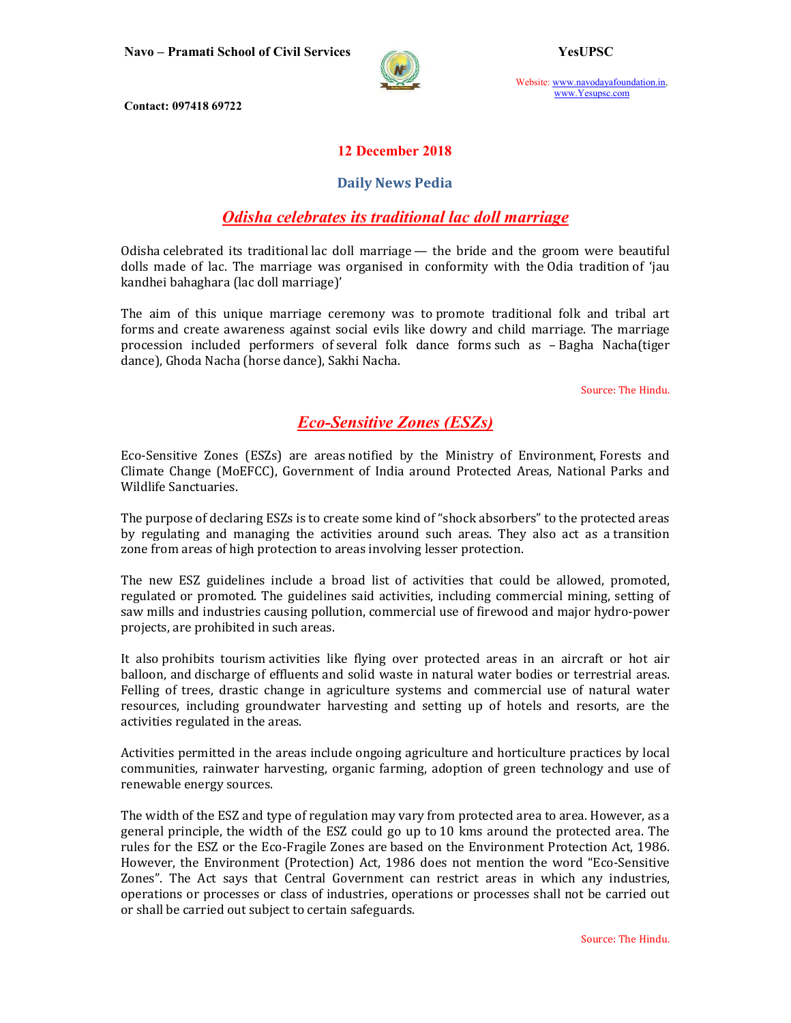

Website: www.navodayafoundation.in, www.Yesupsc.com

Contact: 097418 69722

### 12 December 2018

#### Daily News Pedia

# Odisha celebrates its traditional lac doll marriage

Odisha celebrated its traditional lac doll marriage — the bride and the groom were beautiful dolls made of lac. The marriage was organised in conformity with the Odia tradition of 'jau kandhei bahaghara (lac doll marriage)'

The aim of this unique marriage ceremony was to promote traditional folk and tribal art forms and create awareness against social evils like dowry and child marriage. The marriage procession included performers of several folk dance forms such as – Bagha Nacha(tiger dance), Ghoda Nacha (horse dance), Sakhi Nacha.

Source: The Hindu.

## Eco-Sensitive Zones (ESZs)

Eco-Sensitive Zones (ESZs) are areas notified by the Ministry of Environment, Forests and Climate Change (MoEFCC), Government of India around Protected Areas, National Parks and Wildlife Sanctuaries.

The purpose of declaring ESZs is to create some kind of "shock absorbers" to the protected areas by regulating and managing the activities around such areas. They also act as a transition zone from areas of high protection to areas involving lesser protection.

The new ESZ guidelines include a broad list of activities that could be allowed, promoted, regulated or promoted. The guidelines said activities, including commercial mining, setting of saw mills and industries causing pollution, commercial use of firewood and major hydro-power projects, are prohibited in such areas.

It also prohibits tourism activities like flying over protected areas in an aircraft or hot air balloon, and discharge of effluents and solid waste in natural water bodies or terrestrial areas. Felling of trees, drastic change in agriculture systems and commercial use of natural water resources, including groundwater harvesting and setting up of hotels and resorts, are the activities regulated in the areas.

Activities permitted in the areas include ongoing agriculture and horticulture practices by local communities, rainwater harvesting, organic farming, adoption of green technology and use of renewable energy sources.

The width of the ESZ and type of regulation may vary from protected area to area. However, as a general principle, the width of the ESZ could go up to 10 kms around the protected area. The rules for the ESZ or the Eco-Fragile Zones are based on the Environment Protection Act, 1986. However, the Environment (Protection) Act, 1986 does not mention the word "Eco-Sensitive Zones". The Act says that Central Government can restrict areas in which any industries, operations or processes or class of industries, operations or processes shall not be carried out or shall be carried out subject to certain safeguards.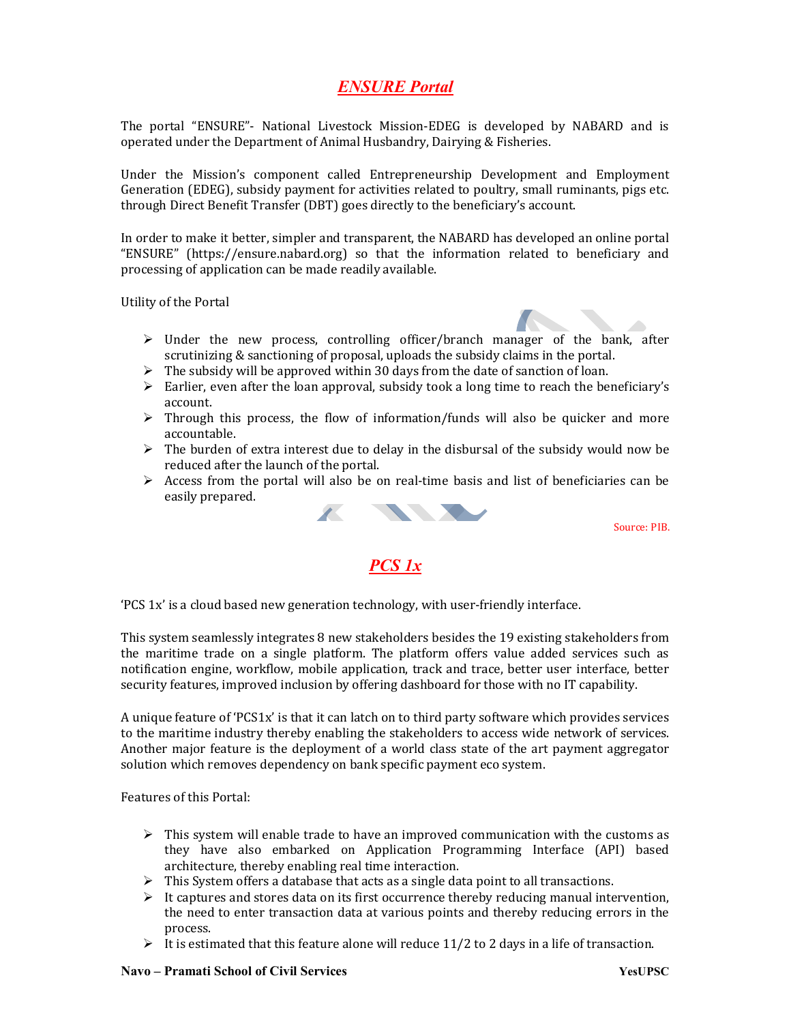# ENSURE Portal

The portal "ENSURE"- National Livestock Mission-EDEG is developed by NABARD and is operated under the Department of Animal Husbandry, Dairying & Fisheries.

Under the Mission's component called Entrepreneurship Development and Employment Generation (EDEG), subsidy payment for activities related to poultry, small ruminants, pigs etc. through Direct Benefit Transfer (DBT) goes directly to the beneficiary's account.

In order to make it better, simpler and transparent, the NABARD has developed an online portal "ENSURE" (https://ensure.nabard.org) so that the information related to beneficiary and processing of application can be made readily available.

Utility of the Portal

- 
- $\triangleright$  Under the new process, controlling officer/branch manager of the bank, after scrutinizing & sanctioning of proposal, uploads the subsidy claims in the portal.
- $\triangleright$  The subsidy will be approved within 30 days from the date of sanction of loan.
- $\triangleright$  Earlier, even after the loan approval, subsidy took a long time to reach the beneficiary's account.
- $\triangleright$  Through this process, the flow of information/funds will also be quicker and more accountable.
- $\triangleright$  The burden of extra interest due to delay in the disbursal of the subsidy would now be reduced after the launch of the portal.
- $\triangleright$  Access from the portal will also be on real-time basis and list of beneficiaries can be easily prepared.



Source: PIB.

### PCS 1x

'PCS 1x' is a cloud based new generation technology, with user-friendly interface.

This system seamlessly integrates 8 new stakeholders besides the 19 existing stakeholders from the maritime trade on a single platform. The platform offers value added services such as notification engine, workflow, mobile application, track and trace, better user interface, better security features, improved inclusion by offering dashboard for those with no IT capability.

A unique feature of 'PCS1x' is that it can latch on to third party software which provides services to the maritime industry thereby enabling the stakeholders to access wide network of services. Another major feature is the deployment of a world class state of the art payment aggregator solution which removes dependency on bank specific payment eco system.

Features of this Portal:

- $\triangleright$  This system will enable trade to have an improved communication with the customs as they have also embarked on Application Programming Interface (API) based architecture, thereby enabling real time interaction.
- $\triangleright$  This System offers a database that acts as a single data point to all transactions.
- $\triangleright$  It captures and stores data on its first occurrence thereby reducing manual intervention, the need to enter transaction data at various points and thereby reducing errors in the process.
- It is estimated that this feature alone will reduce 11/2 to 2 days in a life of transaction.

#### Navo – Pramati School of Civil Services The Contract of Contract of the VesUPSC VesUPSC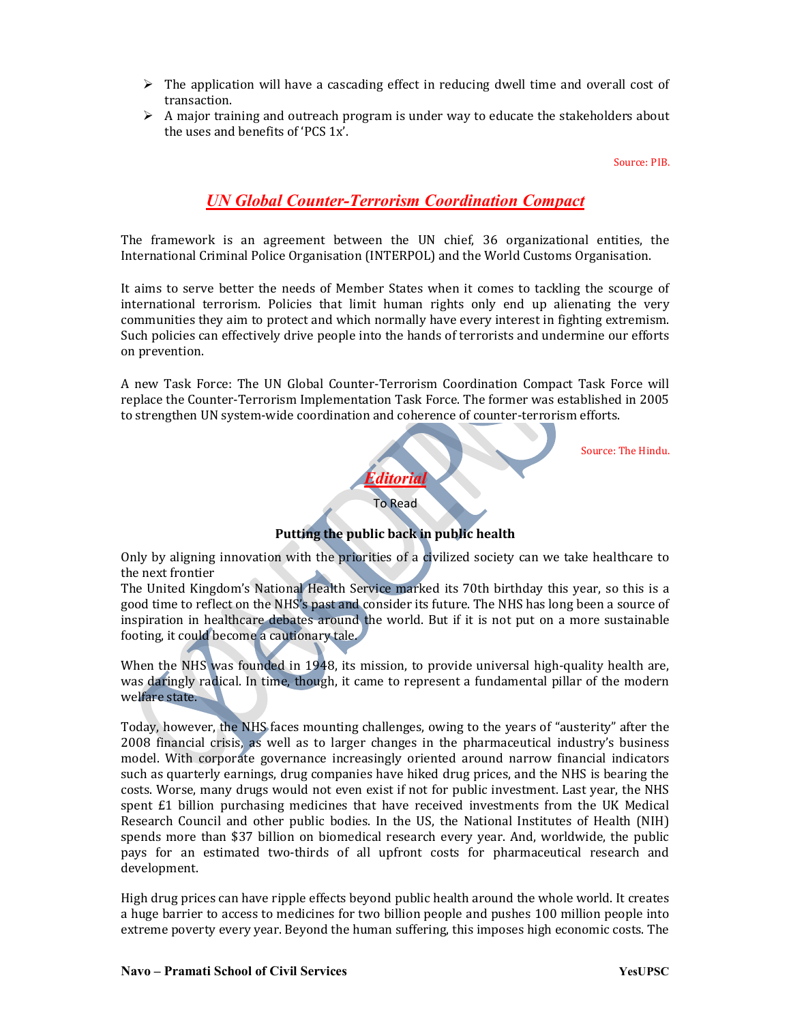- $\triangleright$  The application will have a cascading effect in reducing dwell time and overall cost of transaction.
- $\triangleright$  A major training and outreach program is under way to educate the stakeholders about the uses and benefits of 'PCS 1x'.

#### Source: PIB.

# UN Global Counter-Terrorism Coordination Compact

The framework is an agreement between the UN chief, 36 organizational entities, the International Criminal Police Organisation (INTERPOL) and the World Customs Organisation.

It aims to serve better the needs of Member States when it comes to tackling the scourge of international terrorism. Policies that limit human rights only end up alienating the very communities they aim to protect and which normally have every interest in fighting extremism. Such policies can effectively drive people into the hands of terrorists and undermine our efforts on prevention.

A new Task Force: The UN Global Counter-Terrorism Coordination Compact Task Force will replace the Counter-Terrorism Implementation Task Force. The former was established in 2005 to strengthen UN system-wide coordination and coherence of counter-terrorism efforts.

Source: The Hindu.

To Read Putting the public back in public health

Editorial

Only by aligning innovation with the priorities of a civilized society can we take healthcare to the next frontier

The United Kingdom's National Health Service marked its 70th birthday this year, so this is a good time to reflect on the NHS's past and consider its future. The NHS has long been a source of inspiration in healthcare debates around the world. But if it is not put on a more sustainable footing, it could become a cautionary tale.

When the NHS was founded in 1948, its mission, to provide universal high-quality health are, was daringly radical. In time, though, it came to represent a fundamental pillar of the modern welfare state.

Today, however, the NHS faces mounting challenges, owing to the years of "austerity" after the 2008 financial crisis, as well as to larger changes in the pharmaceutical industry's business model. With corporate governance increasingly oriented around narrow financial indicators such as quarterly earnings, drug companies have hiked drug prices, and the NHS is bearing the costs. Worse, many drugs would not even exist if not for public investment. Last year, the NHS spent £1 billion purchasing medicines that have received investments from the UK Medical Research Council and other public bodies. In the US, the National Institutes of Health (NIH) spends more than \$37 billion on biomedical research every year. And, worldwide, the public pays for an estimated two-thirds of all upfront costs for pharmaceutical research and development.

High drug prices can have ripple effects beyond public health around the whole world. It creates a huge barrier to access to medicines for two billion people and pushes 100 million people into extreme poverty every year. Beyond the human suffering, this imposes high economic costs. The